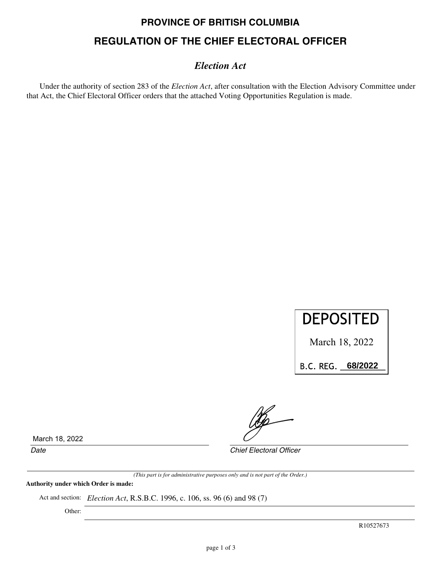# **PROVINCE OF BRITISH COLUMBIA REGULATION OF THE CHIEF ELECTORAL OFFICER**

### *Election Act*

Under the authority of section 283 of the *Election Act*, after consultation with the Election Advisory Committee under that Act, the Chief Electoral Officer orders that the attached Voting Opportunities Regulation is made.



March 18, 2022

B.C.REG.\_\_\_\_\_\_\_\_\_\_ **68/2022**

March 18, 2022

*Date Chief Electoral Officer*

*(This part is for administrative purposes only and is not part of the Order.)*

**Authority under which Order is made:**

Act and section: *Election Act*, R.S.B.C. 1996, c. 106, ss. 96 (6) and 98 (7)

Other:

R10527673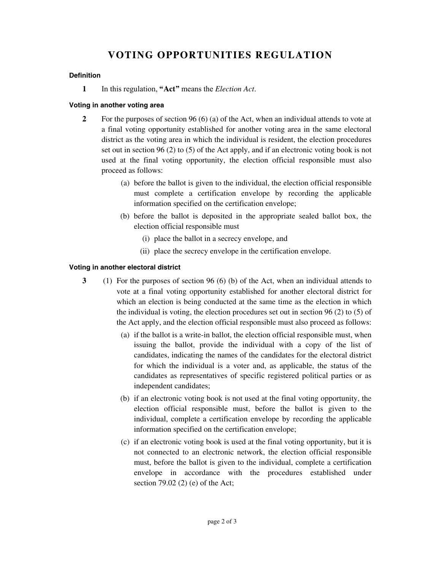## **VOTING OPPORTUNITIES REGULATION**

#### **Definition**

**1** In this regulation, **"Act"** means the *Election Act*.

#### **Voting in another voting area**

- **2** For the purposes of section 96 (6) (a) of the Act, when an individual attends to vote at a final voting opportunity established for another voting area in the same electoral district as the voting area in which the individual is resident, the election procedures set out in section 96 (2) to (5) of the Act apply, and if an electronic voting book is not used at the final voting opportunity, the election official responsible must also proceed as follows:
	- (a) before the ballot is given to the individual, the election official responsible must complete a certification envelope by recording the applicable information specified on the certification envelope;
	- (b) before the ballot is deposited in the appropriate sealed ballot box, the election official responsible must
		- (i) place the ballot in a secrecy envelope, and
		- (ii) place the secrecy envelope in the certification envelope.

#### **Voting in another electoral district**

- **3** (1) For the purposes of section 96 (6) (b) of the Act, when an individual attends to vote at a final voting opportunity established for another electoral district for which an election is being conducted at the same time as the election in which the individual is voting, the election procedures set out in section 96 (2) to (5) of the Act apply, and the election official responsible must also proceed as follows:
	- (a) if the ballot is a write-in ballot, the election official responsible must, when issuing the ballot, provide the individual with a copy of the list of candidates, indicating the names of the candidates for the electoral district for which the individual is a voter and, as applicable, the status of the candidates as representatives of specific registered political parties or as independent candidates;
	- (b) if an electronic voting book is not used at the final voting opportunity, the election official responsible must, before the ballot is given to the individual, complete a certification envelope by recording the applicable information specified on the certification envelope;
	- (c) if an electronic voting book is used at the final voting opportunity, but it is not connected to an electronic network, the election official responsible must, before the ballot is given to the individual, complete a certification envelope in accordance with the procedures established under section 79.02 (2) (e) of the Act;